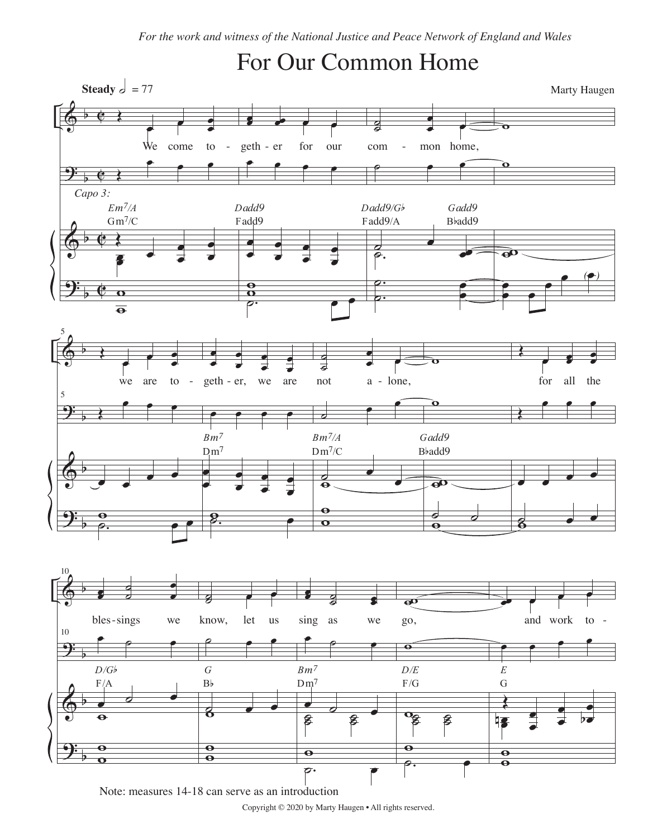## For Our Common Home



Note: measures 14-18 can serve as an introduction

Copyright © 2020 by Marty Haugen • All rights reserved.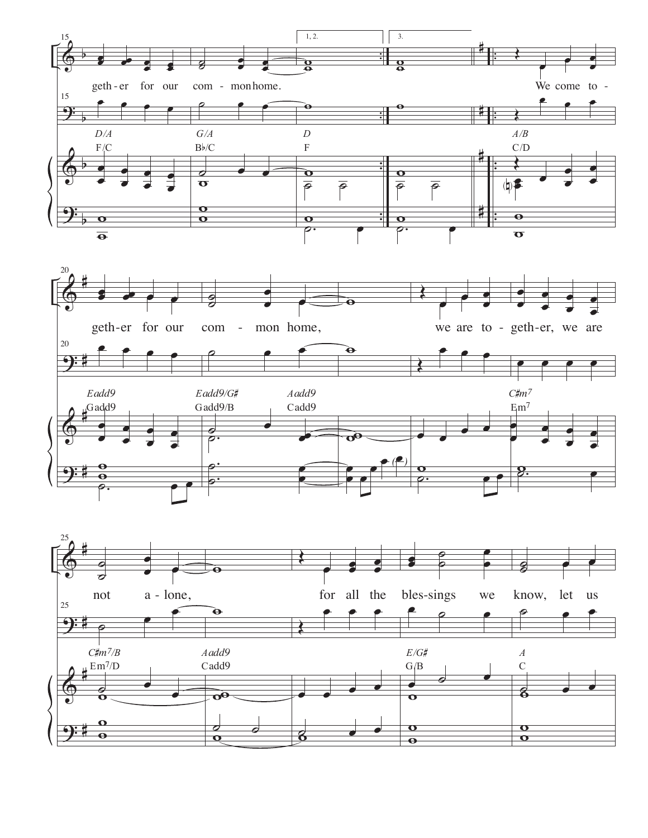